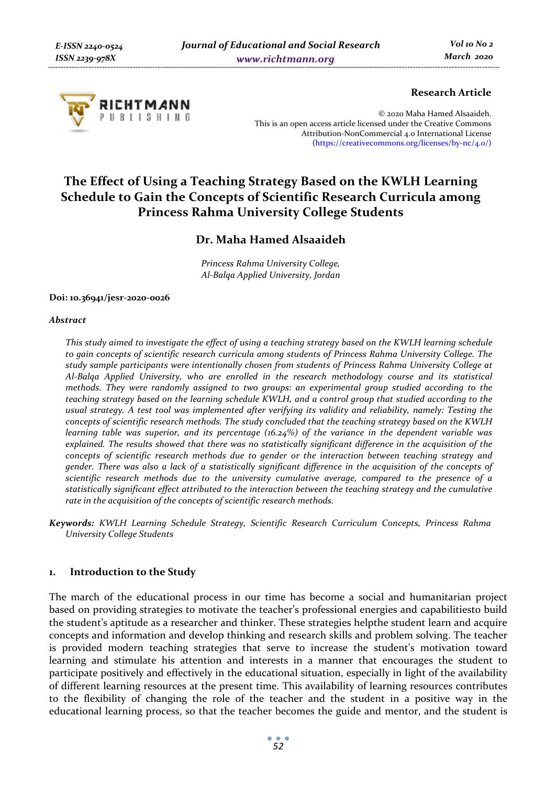

## **Research Article**

© 2020 Maha Hamed Alsaaideh. This is an open access article licensed under the Creative Commons Attribution-NonCommercial 4.0 International License (https://creativecommons.org/licenses/by-nc/4.0/)

# **The Effect of Using a Teaching Strategy Based on the KWLH Learning Schedule to Gain the Concepts of Scientific Research Curricula among Princess Rahma University College Students**

# **Dr. Maha Hamed Alsaaideh**

*Princess Rahma University College, Al-Balqa Applied University, Jordan* 

#### **Doi: 10.36941/jesr-2020-0026**

#### *Abstract*

*This study aimed to investigate the effect of using a teaching strategy based on the KWLH learning schedule to gain concepts of scientific research curricula among students of Princess Rahma University College. The study sample participants were intentionally chosen from students of Princess Rahma University College at Al-Balqa Applied University, who are enrolled in the research methodology course and its statistical methods. They were randomly assigned to two groups: an experimental group studied according to the teaching strategy based on the learning schedule KWLH, and a control group that studied according to the usual strategy. A test tool was implemented after verifying its validity and reliability, namely: Testing the concepts of scientific research methods. The study concluded that the teaching strategy based on the KWLH learning table was superior, and its percentage (16.24%) of the variance in the dependent variable was*  explained. The results showed that there was no statistically significant difference in the acquisition of the *concepts of scientific research methods due to gender or the interaction between teaching strategy and gender. There was also a lack of a statistically significant difference in the acquisition of the concepts of scientific research methods due to the university cumulative average, compared to the presence of a statistically significant effect attributed to the interaction between the teaching strategy and the cumulative rate in the acquisition of the concepts of scientific research methods.* 

*Keywords: KWLH Learning Schedule Strategy, Scientific Research Curriculum Concepts, Princess Rahma University College Students* 

## **1. Introduction to the Study**

The march of the educational process in our time has become a social and humanitarian project based on providing strategies to motivate the teacher's professional energies and capabilitiesto build the student's aptitude as a researcher and thinker. These strategies helpthe student learn and acquire concepts and information and develop thinking and research skills and problem solving. The teacher is provided modern teaching strategies that serve to increase the student's motivation toward learning and stimulate his attention and interests in a manner that encourages the student to participate positively and effectively in the educational situation, especially in light of the availability of different learning resources at the present time. This availability of learning resources contributes to the flexibility of changing the role of the teacher and the student in a positive way in the educational learning process, so that the teacher becomes the guide and mentor, and the student is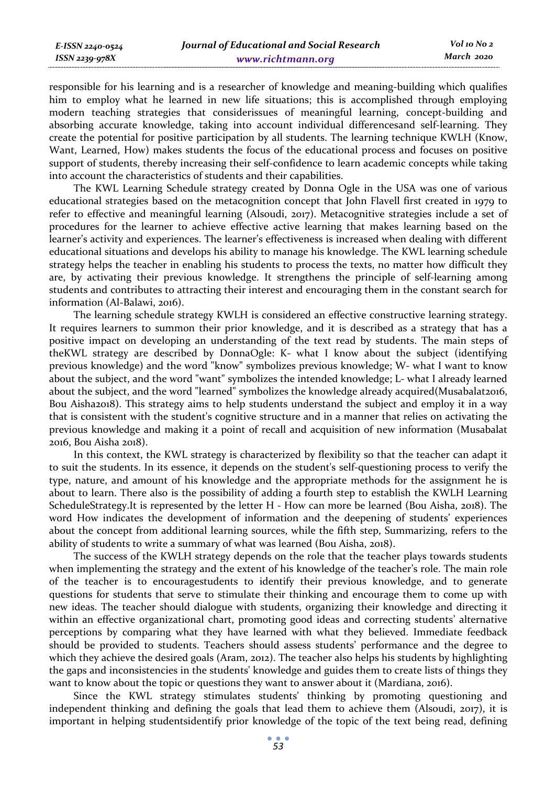responsible for his learning and is a researcher of knowledge and meaning-building which qualifies him to employ what he learned in new life situations; this is accomplished through employing modern teaching strategies that considerissues of meaningful learning, concept-building and absorbing accurate knowledge, taking into account individual differencesand self-learning. They create the potential for positive participation by all students. The learning technique KWLH (Know, Want, Learned, How) makes students the focus of the educational process and focuses on positive support of students, thereby increasing their self-confidence to learn academic concepts while taking into account the characteristics of students and their capabilities.

The KWL Learning Schedule strategy created by Donna Ogle in the USA was one of various educational strategies based on the metacognition concept that John Flavell first created in 1979 to refer to effective and meaningful learning (Alsoudi, 2017). Metacognitive strategies include a set of procedures for the learner to achieve effective active learning that makes learning based on the learner's activity and experiences. The learner's effectiveness is increased when dealing with different educational situations and develops his ability to manage his knowledge. The KWL learning schedule strategy helps the teacher in enabling his students to process the texts, no matter how difficult they are, by activating their previous knowledge. It strengthens the principle of self-learning among students and contributes to attracting their interest and encouraging them in the constant search for information (Al-Balawi, 2016).

The learning schedule strategy KWLH is considered an effective constructive learning strategy. It requires learners to summon their prior knowledge, and it is described as a strategy that has a positive impact on developing an understanding of the text read by students. The main steps of theKWL strategy are described by DonnaOgle: K- what I know about the subject (identifying previous knowledge) and the word "know" symbolizes previous knowledge; W- what I want to know about the subject, and the word "want" symbolizes the intended knowledge; L- what I already learned about the subject, and the word "learned" symbolizes the knowledge already acquired(Musabalat2016, Bou Aisha2018). This strategy aims to help students understand the subject and employ it in a way that is consistent with the student's cognitive structure and in a manner that relies on activating the previous knowledge and making it a point of recall and acquisition of new information (Musabalat 2016, Bou Aisha 2018).

In this context, the KWL strategy is characterized by flexibility so that the teacher can adapt it to suit the students. In its essence, it depends on the student's self-questioning process to verify the type, nature, and amount of his knowledge and the appropriate methods for the assignment he is about to learn. There also is the possibility of adding a fourth step to establish the KWLH Learning ScheduleStrategy.It is represented by the letter H - How can more be learned (Bou Aisha, 2018). The word How indicates the development of information and the deepening of students' experiences about the concept from additional learning sources, while the fifth step, Summarizing, refers to the ability of students to write a summary of what was learned (Bou Aisha, 2018).

The success of the KWLH strategy depends on the role that the teacher plays towards students when implementing the strategy and the extent of his knowledge of the teacher's role. The main role of the teacher is to encouragestudents to identify their previous knowledge, and to generate questions for students that serve to stimulate their thinking and encourage them to come up with new ideas. The teacher should dialogue with students, organizing their knowledge and directing it within an effective organizational chart, promoting good ideas and correcting students' alternative perceptions by comparing what they have learned with what they believed. Immediate feedback should be provided to students. Teachers should assess students' performance and the degree to which they achieve the desired goals (Aram, 2012). The teacher also helps his students by highlighting the gaps and inconsistencies in the students' knowledge and guides them to create lists of things they want to know about the topic or questions they want to answer about it (Mardiana, 2016).

Since the KWL strategy stimulates students' thinking by promoting questioning and independent thinking and defining the goals that lead them to achieve them (Alsoudi, 2017), it is important in helping studentsidentify prior knowledge of the topic of the text being read, defining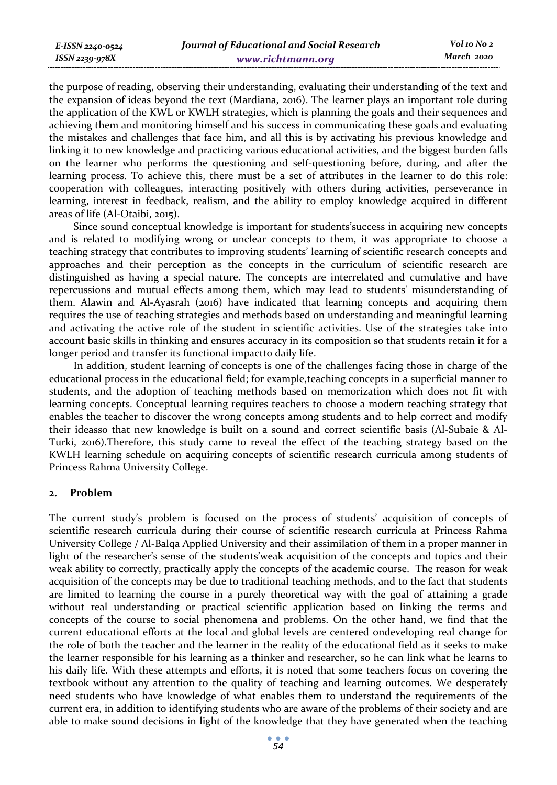the purpose of reading, observing their understanding, evaluating their understanding of the text and the expansion of ideas beyond the text (Mardiana, 2016). The learner plays an important role during the application of the KWL or KWLH strategies, which is planning the goals and their sequences and achieving them and monitoring himself and his success in communicating these goals and evaluating the mistakes and challenges that face him, and all this is by activating his previous knowledge and linking it to new knowledge and practicing various educational activities, and the biggest burden falls on the learner who performs the questioning and self-questioning before, during, and after the learning process. To achieve this, there must be a set of attributes in the learner to do this role: cooperation with colleagues, interacting positively with others during activities, perseverance in learning, interest in feedback, realism, and the ability to employ knowledge acquired in different areas of life (Al-Otaibi, 2015).

Since sound conceptual knowledge is important for students'success in acquiring new concepts and is related to modifying wrong or unclear concepts to them, it was appropriate to choose a teaching strategy that contributes to improving students' learning of scientific research concepts and approaches and their perception as the concepts in the curriculum of scientific research are distinguished as having a special nature. The concepts are interrelated and cumulative and have repercussions and mutual effects among them, which may lead to students' misunderstanding of them. Alawin and Al-Ayasrah (2016) have indicated that learning concepts and acquiring them requires the use of teaching strategies and methods based on understanding and meaningful learning and activating the active role of the student in scientific activities. Use of the strategies take into account basic skills in thinking and ensures accuracy in its composition so that students retain it for a longer period and transfer its functional impactto daily life.

In addition, student learning of concepts is one of the challenges facing those in charge of the educational process in the educational field; for example,teaching concepts in a superficial manner to students, and the adoption of teaching methods based on memorization which does not fit with learning concepts. Conceptual learning requires teachers to choose a modern teaching strategy that enables the teacher to discover the wrong concepts among students and to help correct and modify their ideasso that new knowledge is built on a sound and correct scientific basis (Al-Subaie & Al-Turki, 2016).Therefore, this study came to reveal the effect of the teaching strategy based on the KWLH learning schedule on acquiring concepts of scientific research curricula among students of Princess Rahma University College.

## **2. Problem**

The current study's problem is focused on the process of students' acquisition of concepts of scientific research curricula during their course of scientific research curricula at Princess Rahma University College / Al-Balqa Applied University and their assimilation of them in a proper manner in light of the researcher's sense of the students'weak acquisition of the concepts and topics and their weak ability to correctly, practically apply the concepts of the academic course. The reason for weak acquisition of the concepts may be due to traditional teaching methods, and to the fact that students are limited to learning the course in a purely theoretical way with the goal of attaining a grade without real understanding or practical scientific application based on linking the terms and concepts of the course to social phenomena and problems. On the other hand, we find that the current educational efforts at the local and global levels are centered ondeveloping real change for the role of both the teacher and the learner in the reality of the educational field as it seeks to make the learner responsible for his learning as a thinker and researcher, so he can link what he learns to his daily life. With these attempts and efforts, it is noted that some teachers focus on covering the textbook without any attention to the quality of teaching and learning outcomes. We desperately need students who have knowledge of what enables them to understand the requirements of the current era, in addition to identifying students who are aware of the problems of their society and are able to make sound decisions in light of the knowledge that they have generated when the teaching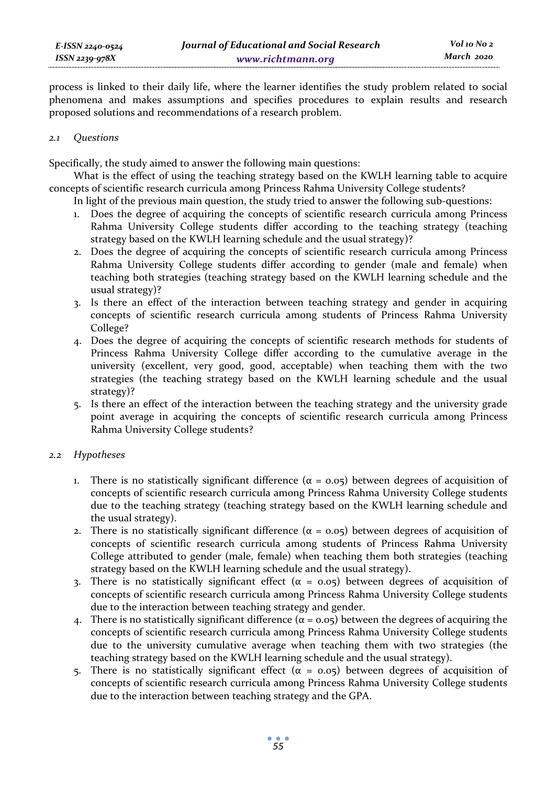process is linked to their daily life, where the learner identifies the study problem related to social phenomena and makes assumptions and specifies procedures to explain results and research proposed solutions and recommendations of a research problem.

#### *2.1 Questions*

Specifically, the study aimed to answer the following main questions:

What is the effect of using the teaching strategy based on the KWLH learning table to acquire concepts of scientific research curricula among Princess Rahma University College students?

In light of the previous main question, the study tried to answer the following sub-questions:

- 1. Does the degree of acquiring the concepts of scientific research curricula among Princess Rahma University College students differ according to the teaching strategy (teaching strategy based on the KWLH learning schedule and the usual strategy)?
- 2. Does the degree of acquiring the concepts of scientific research curricula among Princess Rahma University College students differ according to gender (male and female) when teaching both strategies (teaching strategy based on the KWLH learning schedule and the usual strategy)?
- 3. Is there an effect of the interaction between teaching strategy and gender in acquiring concepts of scientific research curricula among students of Princess Rahma University College?
- 4. Does the degree of acquiring the concepts of scientific research methods for students of Princess Rahma University College differ according to the cumulative average in the university (excellent, very good, good, acceptable) when teaching them with the two strategies (the teaching strategy based on the KWLH learning schedule and the usual strategy)?
- 5. Is there an effect of the interaction between the teaching strategy and the university grade point average in acquiring the concepts of scientific research curricula among Princess Rahma University College students?

## *2.2 Hypotheses*

- 1. There is no statistically significant difference  $(\alpha = 0.05)$  between degrees of acquisition of concepts of scientific research curricula among Princess Rahma University College students due to the teaching strategy (teaching strategy based on the KWLH learning schedule and the usual strategy).
- 2. There is no statistically significant difference ( $α = 0.05$ ) between degrees of acquisition of concepts of scientific research curricula among students of Princess Rahma University College attributed to gender (male, female) when teaching them both strategies (teaching strategy based on the KWLH learning schedule and the usual strategy).
- 3. There is no statistically significant effect ( $\alpha = 0.05$ ) between degrees of acquisition of concepts of scientific research curricula among Princess Rahma University College students due to the interaction between teaching strategy and gender.
- 4. There is no statistically significant difference ( $\alpha$  = 0.05) between the degrees of acquiring the concepts of scientific research curricula among Princess Rahma University College students due to the university cumulative average when teaching them with two strategies (the teaching strategy based on the KWLH learning schedule and the usual strategy).
- 5. There is no statistically significant effect ( $\alpha = 0.05$ ) between degrees of acquisition of concepts of scientific research curricula among Princess Rahma University College students due to the interaction between teaching strategy and the GPA.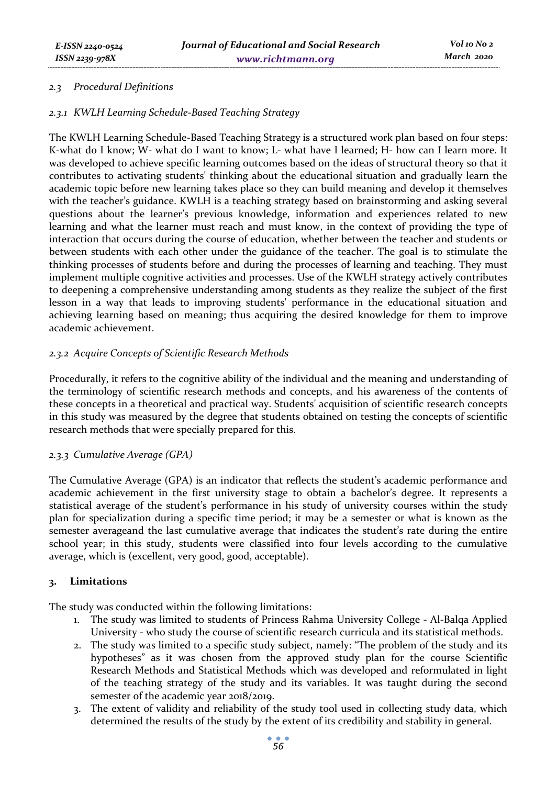## *2.3 Procedural Definitions*

## *2.3.1 KWLH Learning Schedule-Based Teaching Strategy*

The KWLH Learning Schedule-Based Teaching Strategy is a structured work plan based on four steps: K-what do I know; W- what do I want to know; L- what have I learned; H- how can I learn more. It was developed to achieve specific learning outcomes based on the ideas of structural theory so that it contributes to activating students' thinking about the educational situation and gradually learn the academic topic before new learning takes place so they can build meaning and develop it themselves with the teacher's guidance. KWLH is a teaching strategy based on brainstorming and asking several questions about the learner's previous knowledge, information and experiences related to new learning and what the learner must reach and must know, in the context of providing the type of interaction that occurs during the course of education, whether between the teacher and students or between students with each other under the guidance of the teacher. The goal is to stimulate the thinking processes of students before and during the processes of learning and teaching. They must implement multiple cognitive activities and processes. Use of the KWLH strategy actively contributes to deepening a comprehensive understanding among students as they realize the subject of the first lesson in a way that leads to improving students' performance in the educational situation and achieving learning based on meaning; thus acquiring the desired knowledge for them to improve academic achievement.

## *2.3.2 Acquire Concepts of Scientific Research Methods*

Procedurally, it refers to the cognitive ability of the individual and the meaning and understanding of the terminology of scientific research methods and concepts, and his awareness of the contents of these concepts in a theoretical and practical way. Students' acquisition of scientific research concepts in this study was measured by the degree that students obtained on testing the concepts of scientific research methods that were specially prepared for this.

## *2.3.3 Cumulative Average (GPA)*

The Cumulative Average (GPA) is an indicator that reflects the student's academic performance and academic achievement in the first university stage to obtain a bachelor's degree. It represents a statistical average of the student's performance in his study of university courses within the study plan for specialization during a specific time period; it may be a semester or what is known as the semester averageand the last cumulative average that indicates the student's rate during the entire school year; in this study, students were classified into four levels according to the cumulative average, which is (excellent, very good, good, acceptable).

## **3. Limitations**

The study was conducted within the following limitations:

- 1. The study was limited to students of Princess Rahma University College Al-Balqa Applied University - who study the course of scientific research curricula and its statistical methods.
- 2. The study was limited to a specific study subject, namely: "The problem of the study and its hypotheses" as it was chosen from the approved study plan for the course Scientific Research Methods and Statistical Methods which was developed and reformulated in light of the teaching strategy of the study and its variables. It was taught during the second semester of the academic year 2018/2019.
- 3. The extent of validity and reliability of the study tool used in collecting study data, which determined the results of the study by the extent of its credibility and stability in general.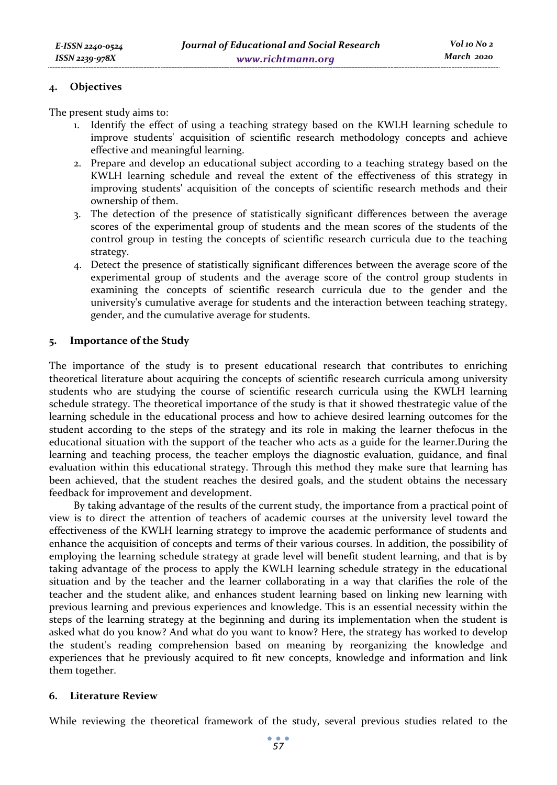#### **4. Objectives**

The present study aims to:

- 1. Identify the effect of using a teaching strategy based on the KWLH learning schedule to improve students' acquisition of scientific research methodology concepts and achieve effective and meaningful learning.
- 2. Prepare and develop an educational subject according to a teaching strategy based on the KWLH learning schedule and reveal the extent of the effectiveness of this strategy in improving students' acquisition of the concepts of scientific research methods and their ownership of them.
- 3. The detection of the presence of statistically significant differences between the average scores of the experimental group of students and the mean scores of the students of the control group in testing the concepts of scientific research curricula due to the teaching strategy.
- 4. Detect the presence of statistically significant differences between the average score of the experimental group of students and the average score of the control group students in examining the concepts of scientific research curricula due to the gender and the university's cumulative average for students and the interaction between teaching strategy, gender, and the cumulative average for students.

## **5. Importance of the Study**

The importance of the study is to present educational research that contributes to enriching theoretical literature about acquiring the concepts of scientific research curricula among university students who are studying the course of scientific research curricula using the KWLH learning schedule strategy. The theoretical importance of the study is that it showed thestrategic value of the learning schedule in the educational process and how to achieve desired learning outcomes for the student according to the steps of the strategy and its role in making the learner thefocus in the educational situation with the support of the teacher who acts as a guide for the learner.During the learning and teaching process, the teacher employs the diagnostic evaluation, guidance, and final evaluation within this educational strategy. Through this method they make sure that learning has been achieved, that the student reaches the desired goals, and the student obtains the necessary feedback for improvement and development.

By taking advantage of the results of the current study, the importance from a practical point of view is to direct the attention of teachers of academic courses at the university level toward the effectiveness of the KWLH learning strategy to improve the academic performance of students and enhance the acquisition of concepts and terms of their various courses. In addition, the possibility of employing the learning schedule strategy at grade level will benefit student learning, and that is by taking advantage of the process to apply the KWLH learning schedule strategy in the educational situation and by the teacher and the learner collaborating in a way that clarifies the role of the teacher and the student alike, and enhances student learning based on linking new learning with previous learning and previous experiences and knowledge. This is an essential necessity within the steps of the learning strategy at the beginning and during its implementation when the student is asked what do you know? And what do you want to know? Here, the strategy has worked to develop the student's reading comprehension based on meaning by reorganizing the knowledge and experiences that he previously acquired to fit new concepts, knowledge and information and link them together.

## **6. Literature Review**

While reviewing the theoretical framework of the study, several previous studies related to the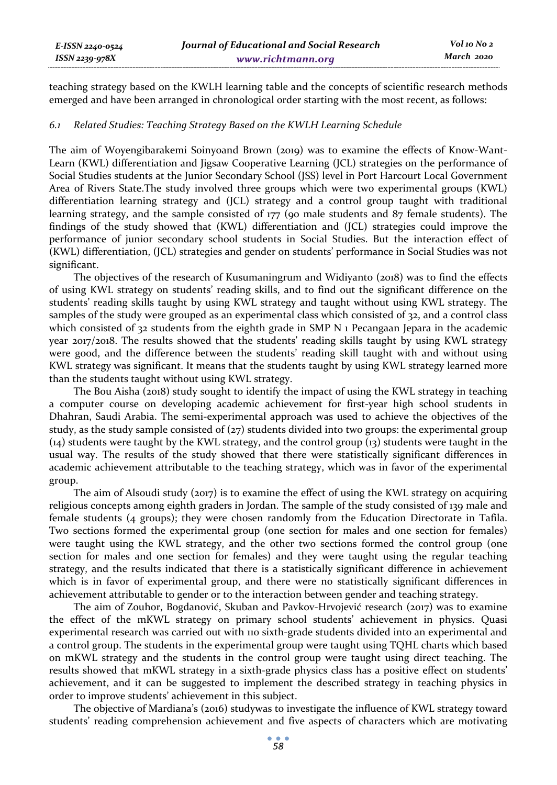teaching strategy based on the KWLH learning table and the concepts of scientific research methods emerged and have been arranged in chronological order starting with the most recent, as follows:

#### *6.1 Related Studies: Teaching Strategy Based on the KWLH Learning Schedule*

The aim of Woyengibarakemi Soinyoand Brown (2019) was to examine the effects of Know-Want-Learn (KWL) differentiation and Jigsaw Cooperative Learning (JCL) strategies on the performance of Social Studies students at the Junior Secondary School (JSS) level in Port Harcourt Local Government Area of Rivers State.The study involved three groups which were two experimental groups (KWL) differentiation learning strategy and (JCL) strategy and a control group taught with traditional learning strategy, and the sample consisted of 177 (90 male students and 87 female students). The findings of the study showed that (KWL) differentiation and (JCL) strategies could improve the performance of junior secondary school students in Social Studies. But the interaction effect of (KWL) differentiation, (JCL) strategies and gender on students' performance in Social Studies was not significant.

The objectives of the research of Kusumaningrum and Widiyanto (2018) was to find the effects of using KWL strategy on students' reading skills, and to find out the significant difference on the students' reading skills taught by using KWL strategy and taught without using KWL strategy. The samples of the study were grouped as an experimental class which consisted of 32, and a control class which consisted of 32 students from the eighth grade in SMP N 1 Pecangaan Jepara in the academic year 2017/2018. The results showed that the students' reading skills taught by using KWL strategy were good, and the difference between the students' reading skill taught with and without using KWL strategy was significant. It means that the students taught by using KWL strategy learned more than the students taught without using KWL strategy.

The Bou Aisha (2018) study sought to identify the impact of using the KWL strategy in teaching a computer course on developing academic achievement for first-year high school students in Dhahran, Saudi Arabia. The semi-experimental approach was used to achieve the objectives of the study, as the study sample consisted of  $(zz)$  students divided into two groups: the experimental group (14) students were taught by the KWL strategy, and the control group (13) students were taught in the usual way. The results of the study showed that there were statistically significant differences in academic achievement attributable to the teaching strategy, which was in favor of the experimental group.

The aim of Alsoudi study (2017) is to examine the effect of using the KWL strategy on acquiring religious concepts among eighth graders in Jordan. The sample of the study consisted of 139 male and female students (4 groups); they were chosen randomly from the Education Directorate in Tafila. Two sections formed the experimental group (one section for males and one section for females) were taught using the KWL strategy, and the other two sections formed the control group (one section for males and one section for females) and they were taught using the regular teaching strategy, and the results indicated that there is a statistically significant difference in achievement which is in favor of experimental group, and there were no statistically significant differences in achievement attributable to gender or to the interaction between gender and teaching strategy.

The aim of Zouhor, Bogdanović, Skuban and Pavkov-Hrvojević research (2017) was to examine the effect of the mKWL strategy on primary school students' achievement in physics. Quasi experimental research was carried out with 110 sixth-grade students divided into an experimental and a control group. The students in the experimental group were taught using TQHL charts which based on mKWL strategy and the students in the control group were taught using direct teaching. The results showed that mKWL strategy in a sixth-grade physics class has a positive effect on students' achievement, and it can be suggested to implement the described strategy in teaching physics in order to improve students' achievement in this subject.

The objective of Mardiana's (2016) studywas to investigate the influence of KWL strategy toward students' reading comprehension achievement and five aspects of characters which are motivating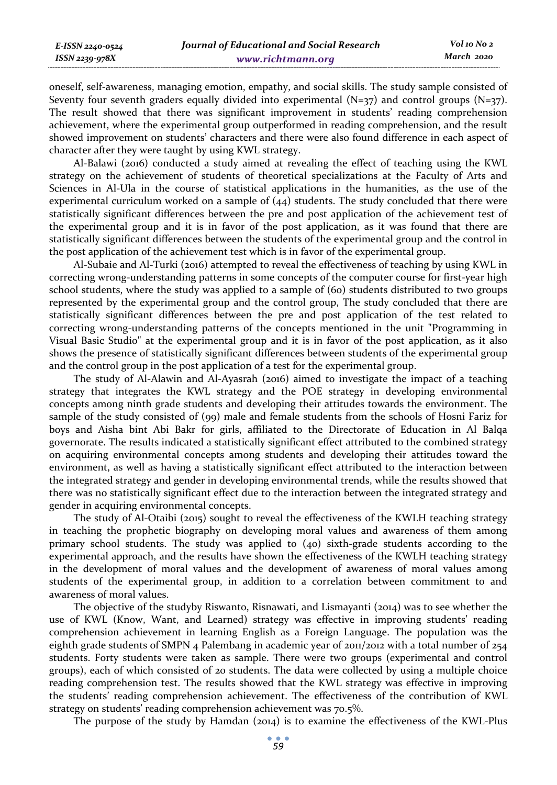| E-ISSN 2240-0524 | Journal of Educational and Social Research | Vol 10 No 2 |
|------------------|--------------------------------------------|-------------|
| ISSN 2239-978X   | www.richtmann.org                          | March 2020  |

oneself, self-awareness, managing emotion, empathy, and social skills. The study sample consisted of Seventy four seventh graders equally divided into experimental  $(N=\frac{37}{7})$  and control groups  $(N=\frac{37}{7})$ . The result showed that there was significant improvement in students' reading comprehension achievement, where the experimental group outperformed in reading comprehension, and the result showed improvement on students' characters and there were also found difference in each aspect of character after they were taught by using KWL strategy.

Al-Balawi (2016) conducted a study aimed at revealing the effect of teaching using the KWL strategy on the achievement of students of theoretical specializations at the Faculty of Arts and Sciences in Al-Ula in the course of statistical applications in the humanities, as the use of the experimental curriculum worked on a sample of  $(44)$  students. The study concluded that there were statistically significant differences between the pre and post application of the achievement test of the experimental group and it is in favor of the post application, as it was found that there are statistically significant differences between the students of the experimental group and the control in the post application of the achievement test which is in favor of the experimental group.

Al-Subaie and Al-Turki (2016) attempted to reveal the effectiveness of teaching by using KWL in correcting wrong-understanding patterns in some concepts of the computer course for first-year high school students, where the study was applied to a sample of (60) students distributed to two groups represented by the experimental group and the control group, The study concluded that there are statistically significant differences between the pre and post application of the test related to correcting wrong-understanding patterns of the concepts mentioned in the unit "Programming in Visual Basic Studio" at the experimental group and it is in favor of the post application, as it also shows the presence of statistically significant differences between students of the experimental group and the control group in the post application of a test for the experimental group.

The study of Al-Alawin and Al-Ayasrah (2016) aimed to investigate the impact of a teaching strategy that integrates the KWL strategy and the POE strategy in developing environmental concepts among ninth grade students and developing their attitudes towards the environment. The sample of the study consisted of (99) male and female students from the schools of Hosni Fariz for boys and Aisha bint Abi Bakr for girls, affiliated to the Directorate of Education in Al Balqa governorate. The results indicated a statistically significant effect attributed to the combined strategy on acquiring environmental concepts among students and developing their attitudes toward the environment, as well as having a statistically significant effect attributed to the interaction between the integrated strategy and gender in developing environmental trends, while the results showed that there was no statistically significant effect due to the interaction between the integrated strategy and gender in acquiring environmental concepts.

The study of Al-Otaibi (2015) sought to reveal the effectiveness of the KWLH teaching strategy in teaching the prophetic biography on developing moral values and awareness of them among primary school students. The study was applied to (40) sixth-grade students according to the experimental approach, and the results have shown the effectiveness of the KWLH teaching strategy in the development of moral values and the development of awareness of moral values among students of the experimental group, in addition to a correlation between commitment to and awareness of moral values.

The objective of the studyby Riswanto, Risnawati, and Lismayanti (2014) was to see whether the use of KWL (Know, Want, and Learned) strategy was effective in improving students' reading comprehension achievement in learning English as a Foreign Language. The population was the eighth grade students of SMPN 4 Palembang in academic year of 2011/2012 with a total number of  $254$ students. Forty students were taken as sample. There were two groups (experimental and control groups), each of which consisted of 20 students. The data were collected by using a multiple choice reading comprehension test. The results showed that the KWL strategy was effective in improving the students' reading comprehension achievement. The effectiveness of the contribution of KWL strategy on students' reading comprehension achievement was 70.5%.

The purpose of the study by Hamdan (2014) is to examine the effectiveness of the KWL-Plus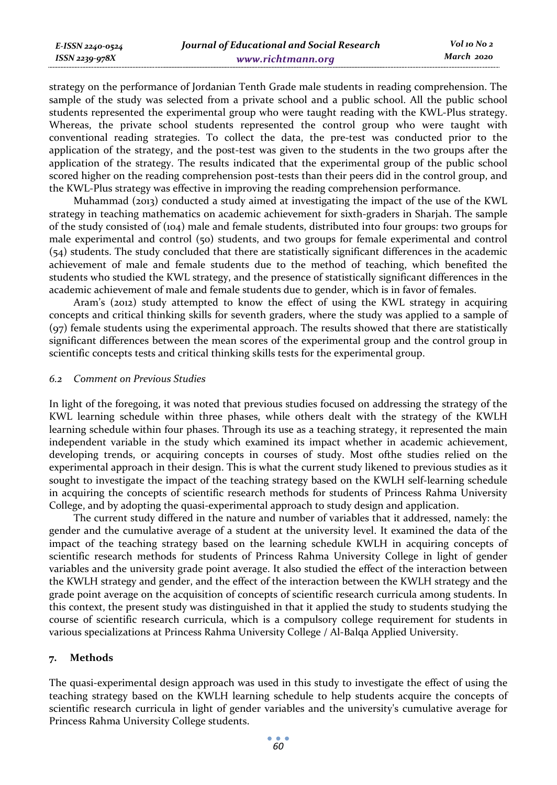strategy on the performance of Jordanian Tenth Grade male students in reading comprehension. The sample of the study was selected from a private school and a public school. All the public school students represented the experimental group who were taught reading with the KWL-Plus strategy. Whereas, the private school students represented the control group who were taught with conventional reading strategies. To collect the data, the pre-test was conducted prior to the application of the strategy, and the post-test was given to the students in the two groups after the application of the strategy. The results indicated that the experimental group of the public school scored higher on the reading comprehension post-tests than their peers did in the control group, and the KWL-Plus strategy was effective in improving the reading comprehension performance.

Muhammad (2013) conducted a study aimed at investigating the impact of the use of the KWL strategy in teaching mathematics on academic achievement for sixth-graders in Sharjah. The sample of the study consisted of (104) male and female students, distributed into four groups: two groups for male experimental and control (50) students, and two groups for female experimental and control (54) students. The study concluded that there are statistically significant differences in the academic achievement of male and female students due to the method of teaching, which benefited the students who studied the KWL strategy, and the presence of statistically significant differences in the academic achievement of male and female students due to gender, which is in favor of females.

Aram's (2012) study attempted to know the effect of using the KWL strategy in acquiring concepts and critical thinking skills for seventh graders, where the study was applied to a sample of (97) female students using the experimental approach. The results showed that there are statistically significant differences between the mean scores of the experimental group and the control group in scientific concepts tests and critical thinking skills tests for the experimental group.

#### *6.2 Comment on Previous Studies*

In light of the foregoing, it was noted that previous studies focused on addressing the strategy of the KWL learning schedule within three phases, while others dealt with the strategy of the KWLH learning schedule within four phases. Through its use as a teaching strategy, it represented the main independent variable in the study which examined its impact whether in academic achievement, developing trends, or acquiring concepts in courses of study. Most ofthe studies relied on the experimental approach in their design. This is what the current study likened to previous studies as it sought to investigate the impact of the teaching strategy based on the KWLH self-learning schedule in acquiring the concepts of scientific research methods for students of Princess Rahma University College, and by adopting the quasi-experimental approach to study design and application.

The current study differed in the nature and number of variables that it addressed, namely: the gender and the cumulative average of a student at the university level. It examined the data of the impact of the teaching strategy based on the learning schedule KWLH in acquiring concepts of scientific research methods for students of Princess Rahma University College in light of gender variables and the university grade point average. It also studied the effect of the interaction between the KWLH strategy and gender, and the effect of the interaction between the KWLH strategy and the grade point average on the acquisition of concepts of scientific research curricula among students. In this context, the present study was distinguished in that it applied the study to students studying the course of scientific research curricula, which is a compulsory college requirement for students in various specializations at Princess Rahma University College / Al-Balqa Applied University.

## **7. Methods**

The quasi-experimental design approach was used in this study to investigate the effect of using the teaching strategy based on the KWLH learning schedule to help students acquire the concepts of scientific research curricula in light of gender variables and the university's cumulative average for Princess Rahma University College students.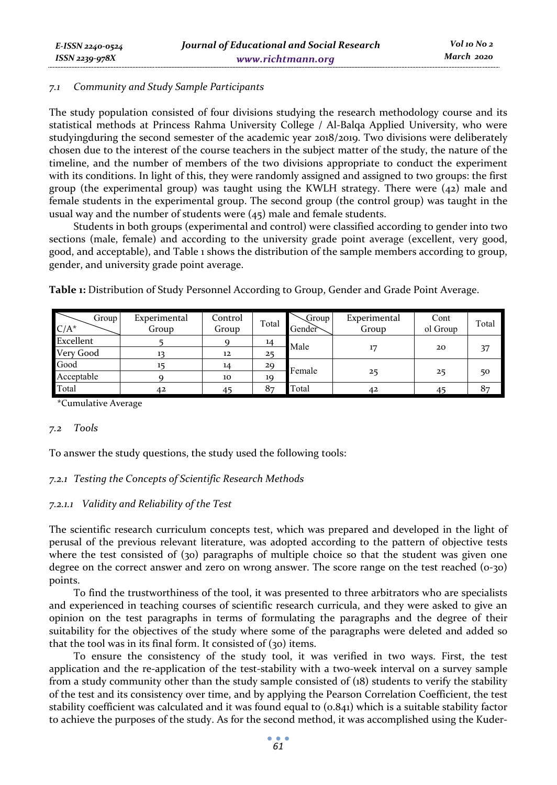## *7.1 Community and Study Sample Participants*

The study population consisted of four divisions studying the research methodology course and its statistical methods at Princess Rahma University College / Al-Balqa Applied University, who were studyingduring the second semester of the academic year 2018/2019. Two divisions were deliberately chosen due to the interest of the course teachers in the subject matter of the study, the nature of the timeline, and the number of members of the two divisions appropriate to conduct the experiment with its conditions. In light of this, they were randomly assigned and assigned to two groups: the first group (the experimental group) was taught using the KWLH strategy. There were  $(42)$  male and female students in the experimental group. The second group (the control group) was taught in the usual way and the number of students were (45) male and female students.

Students in both groups (experimental and control) were classified according to gender into two sections (male, female) and according to the university grade point average (excellent, very good, good, and acceptable), and Table 1 shows the distribution of the sample members according to group, gender, and university grade point average.

| Group<br>$C/A^*$ | Experimental<br>Group | Control<br>Group | Total | Group<br>Gender | Experimental<br>Group | Cont<br>ol Group | Total |
|------------------|-----------------------|------------------|-------|-----------------|-----------------------|------------------|-------|
| Excellent        |                       |                  | 14    | Male            | 17                    |                  |       |
| Very Good        |                       | 12               | 25    |                 |                       | 20               | 37    |
| Good             |                       | 14               | 29    | Female          |                       |                  |       |
| Acceptable       |                       | 10               | 19    |                 | 25                    | 25               | 50    |
| Total            | 42                    |                  | 87    | Total           | 42                    |                  | 87    |

**Table 1:** Distribution of Study Personnel According to Group, Gender and Grade Point Average.

\*Cumulative Average

## *7.2 Tools*

To answer the study questions, the study used the following tools:

## *7.2.1 Testing the Concepts of Scientific Research Methods*

## *7.2.1.1 Validity and Reliability of the Test*

The scientific research curriculum concepts test, which was prepared and developed in the light of perusal of the previous relevant literature, was adopted according to the pattern of objective tests where the test consisted of (30) paragraphs of multiple choice so that the student was given one degree on the correct answer and zero on wrong answer. The score range on the test reached (0-30) points.

To find the trustworthiness of the tool, it was presented to three arbitrators who are specialists and experienced in teaching courses of scientific research curricula, and they were asked to give an opinion on the test paragraphs in terms of formulating the paragraphs and the degree of their suitability for the objectives of the study where some of the paragraphs were deleted and added so that the tool was in its final form. It consisted of  $(30)$  items.

To ensure the consistency of the study tool, it was verified in two ways. First, the test application and the re-application of the test-stability with a two-week interval on a survey sample from a study community other than the study sample consisted of (18) students to verify the stability of the test and its consistency over time, and by applying the Pearson Correlation Coefficient, the test stability coefficient was calculated and it was found equal to (0.841) which is a suitable stability factor to achieve the purposes of the study. As for the second method, it was accomplished using the Kuder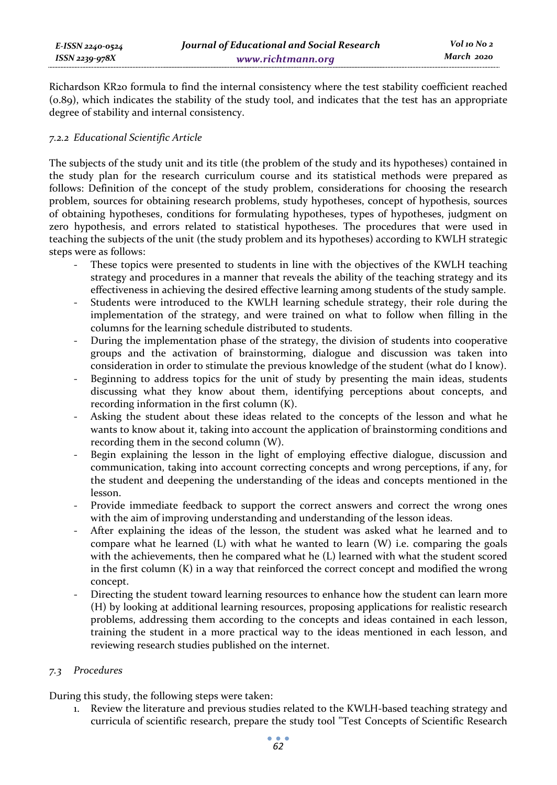Richardson KR20 formula to find the internal consistency where the test stability coefficient reached (0.89), which indicates the stability of the study tool, and indicates that the test has an appropriate degree of stability and internal consistency.

## *7.2.2 Educational Scientific Article*

The subjects of the study unit and its title (the problem of the study and its hypotheses) contained in the study plan for the research curriculum course and its statistical methods were prepared as follows: Definition of the concept of the study problem, considerations for choosing the research problem, sources for obtaining research problems, study hypotheses, concept of hypothesis, sources of obtaining hypotheses, conditions for formulating hypotheses, types of hypotheses, judgment on zero hypothesis, and errors related to statistical hypotheses. The procedures that were used in teaching the subjects of the unit (the study problem and its hypotheses) according to KWLH strategic steps were as follows:

- These topics were presented to students in line with the objectives of the KWLH teaching strategy and procedures in a manner that reveals the ability of the teaching strategy and its effectiveness in achieving the desired effective learning among students of the study sample.
- Students were introduced to the KWLH learning schedule strategy, their role during the implementation of the strategy, and were trained on what to follow when filling in the columns for the learning schedule distributed to students.
- During the implementation phase of the strategy, the division of students into cooperative groups and the activation of brainstorming, dialogue and discussion was taken into consideration in order to stimulate the previous knowledge of the student (what do I know).
- Beginning to address topics for the unit of study by presenting the main ideas, students discussing what they know about them, identifying perceptions about concepts, and recording information in the first column (K).
- Asking the student about these ideas related to the concepts of the lesson and what he wants to know about it, taking into account the application of brainstorming conditions and recording them in the second column (W).
- Begin explaining the lesson in the light of employing effective dialogue, discussion and communication, taking into account correcting concepts and wrong perceptions, if any, for the student and deepening the understanding of the ideas and concepts mentioned in the lesson.
- Provide immediate feedback to support the correct answers and correct the wrong ones with the aim of improving understanding and understanding of the lesson ideas.
- After explaining the ideas of the lesson, the student was asked what he learned and to compare what he learned  $(L)$  with what he wanted to learn  $(W)$  i.e. comparing the goals with the achievements, then he compared what he (L) learned with what the student scored in the first column (K) in a way that reinforced the correct concept and modified the wrong concept.
- Directing the student toward learning resources to enhance how the student can learn more (H) by looking at additional learning resources, proposing applications for realistic research problems, addressing them according to the concepts and ideas contained in each lesson, training the student in a more practical way to the ideas mentioned in each lesson, and reviewing research studies published on the internet.

## *7.3 Procedures*

During this study, the following steps were taken:

1. Review the literature and previous studies related to the KWLH-based teaching strategy and curricula of scientific research, prepare the study tool "Test Concepts of Scientific Research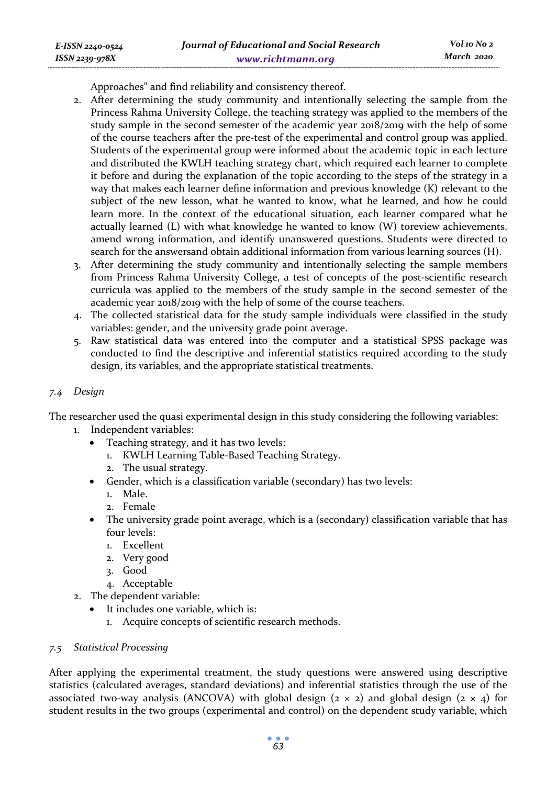Approaches" and find reliability and consistency thereof.

- 2. After determining the study community and intentionally selecting the sample from the Princess Rahma University College, the teaching strategy was applied to the members of the study sample in the second semester of the academic year 2018/2019 with the help of some of the course teachers after the pre-test of the experimental and control group was applied. Students of the experimental group were informed about the academic topic in each lecture and distributed the KWLH teaching strategy chart, which required each learner to complete it before and during the explanation of the topic according to the steps of the strategy in a way that makes each learner define information and previous knowledge (K) relevant to the subject of the new lesson, what he wanted to know, what he learned, and how he could learn more. In the context of the educational situation, each learner compared what he actually learned (L) with what knowledge he wanted to know (W) toreview achievements, amend wrong information, and identify unanswered questions. Students were directed to search for the answersand obtain additional information from various learning sources (H).
- 3. After determining the study community and intentionally selecting the sample members from Princess Rahma University College, a test of concepts of the post-scientific research curricula was applied to the members of the study sample in the second semester of the academic year 2018/2019 with the help of some of the course teachers.
- 4. The collected statistical data for the study sample individuals were classified in the study variables: gender, and the university grade point average.
- 5. Raw statistical data was entered into the computer and a statistical SPSS package was conducted to find the descriptive and inferential statistics required according to the study design, its variables, and the appropriate statistical treatments.

## *7.4 Design*

*E-ISSN 2240-0524 ISSN 2239-978X*

The researcher used the quasi experimental design in this study considering the following variables:

- 1. Independent variables:
	- Teaching strategy, and it has two levels:
		- 1. KWLH Learning Table-Based Teaching Strategy.
		- 2. The usual strategy.
	- Gender, which is a classification variable (secondary) has two levels:
		- 1. Male.
		- 2. Female
	- The university grade point average, which is a (secondary) classification variable that has four levels:
		- 1. Excellent
		- 2. Very good
		- 3. Good
		- 4. Acceptable
- 2. The dependent variable:
	- It includes one variable, which is:
		- 1. Acquire concepts of scientific research methods.

#### *7.5 Statistical Processing*

After applying the experimental treatment, the study questions were answered using descriptive statistics (calculated averages, standard deviations) and inferential statistics through the use of the associated two-way analysis (ANCOVA) with global design  $(2 \times 2)$  and global design  $(2 \times 4)$  for student results in the two groups (experimental and control) on the dependent study variable, which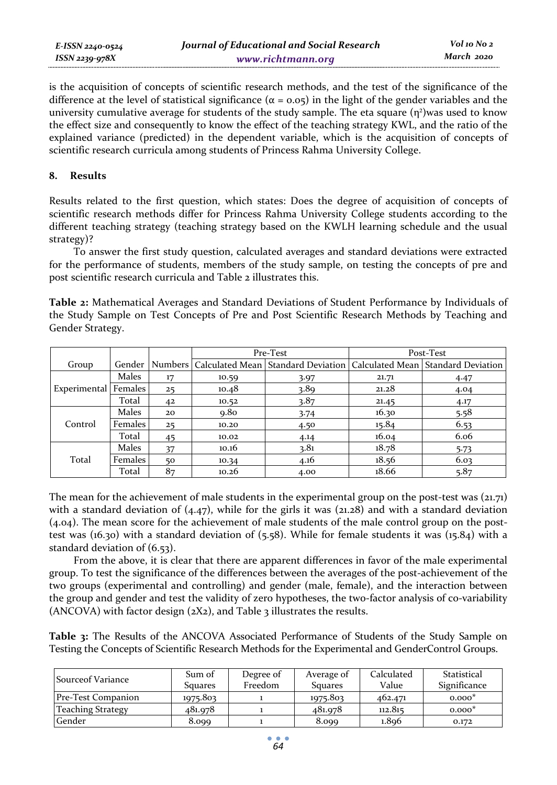| E-ISSN 2240-0524 | Journal of Educational and Social Research | Vol 10 No 2 |
|------------------|--------------------------------------------|-------------|
| ISSN 2239-978X   | www.richtmann.org                          | March 2020  |

is the acquisition of concepts of scientific research methods, and the test of the significance of the difference at the level of statistical significance ( $α = 0.05$ ) in the light of the gender variables and the university cumulative average for students of the study sample. The eta square  $(\eta^2)$ was used to know the effect size and consequently to know the effect of the teaching strategy KWL, and the ratio of the explained variance (predicted) in the dependent variable, which is the acquisition of concepts of scientific research curricula among students of Princess Rahma University College.

#### **8. Results**

Results related to the first question, which states: Does the degree of acquisition of concepts of scientific research methods differ for Princess Rahma University College students according to the different teaching strategy (teaching strategy based on the KWLH learning schedule and the usual strategy)?

To answer the first study question, calculated averages and standard deviations were extracted for the performance of students, members of the study sample, on testing the concepts of pre and post scientific research curricula and Table 2 illustrates this.

**Table 2:** Mathematical Averages and Standard Deviations of Student Performance by Individuals of the Study Sample on Test Concepts of Pre and Post Scientific Research Methods by Teaching and Gender Strategy.

|                        |         |         |       | Pre-Test |       | Post-Test                                                                 |
|------------------------|---------|---------|-------|----------|-------|---------------------------------------------------------------------------|
| Group                  | Gender  | Numbers |       |          |       | Calculated Mean Standard Deviation   Calculated Mean   Standard Deviation |
|                        | Males   | 17      | 10.59 | 3.97     | 21.71 | 4.47                                                                      |
| Experimental   Females |         | 25      | 10.48 | 3.89     | 21,28 | 4.04                                                                      |
|                        | Total   | 42      | 10.52 | 3.87     | 21.45 | 4.17                                                                      |
|                        | Males   | 20      | 9.80  | 3.74     | 16.30 | 5.58                                                                      |
| Control                | Females | 25      | 10.20 | 4.50     | 15.84 | 6.53                                                                      |
|                        | Total   | 45      | 10.02 | 4.14     | 16.04 | 6.06                                                                      |
|                        | Males   | 37      | 10.16 | 3.81     | 18.78 | 5.73                                                                      |
| Total                  | Females | 50      | 10.34 | 4.16     | 18.56 | 6.03                                                                      |
|                        | Total   | 87      | 10.26 | 4.00     | 18.66 | 5.87                                                                      |

The mean for the achievement of male students in the experimental group on the post-test was (21.71) with a standard deviation of  $(4.47)$ , while for the girls it was  $(21.28)$  and with a standard deviation (4.04). The mean score for the achievement of male students of the male control group on the posttest was (16.30) with a standard deviation of (5.58). While for female students it was (15.84) with a standard deviation of (6.53).

From the above, it is clear that there are apparent differences in favor of the male experimental group. To test the significance of the differences between the averages of the post-achievement of the two groups (experimental and controlling) and gender (male, female), and the interaction between the group and gender and test the validity of zero hypotheses, the two-factor analysis of co-variability (ANCOVA) with factor design  $(2X2)$ , and Table 3 illustrates the results.

**Table 3:** The Results of the ANCOVA Associated Performance of Students of the Study Sample on Testing the Concepts of Scientific Research Methods for the Experimental and GenderControl Groups.

| Source of Variance       | Sum of<br>Squares | Degree of<br>Freedom | Average of<br><b>Squares</b> | Calculated<br>Value | Statistical<br>Significance |
|--------------------------|-------------------|----------------------|------------------------------|---------------------|-----------------------------|
| Pre-Test Companion       | 1975.803          |                      | 1975.803                     | 462.471             | $0.000*$                    |
| <b>Teaching Strategy</b> | 481.978           |                      | 481.978                      | 112.815             | $0.000*$                    |
| Gender                   | 8.099             |                      | 8.099                        | 1.896               | 0.172                       |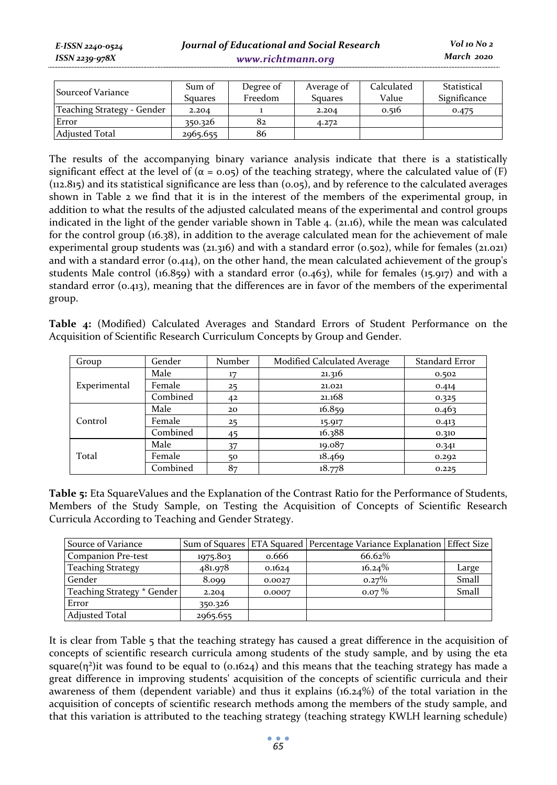| <b>Source of Variance</b>  | Sum of   | Degree of | Average of     | Calculated | Statistical  |
|----------------------------|----------|-----------|----------------|------------|--------------|
|                            | Squares  | Freedom   | <b>Squares</b> | Value      | Significance |
| Teaching Strategy - Gender | 2.204    |           | 2.204          | 0.516      | 0.475        |
| Error                      | 350.326  | 82        | 4.272          |            |              |
| <b>Adiusted Total</b>      | 2965.655 | 86        |                |            |              |

The results of the accompanying binary variance analysis indicate that there is a statistically significant effect at the level of  $(\alpha = 0.05)$  of the teaching strategy, where the calculated value of (F) (112.815) and its statistical significance are less than (0.05), and by reference to the calculated averages shown in Table 2 we find that it is in the interest of the members of the experimental group, in addition to what the results of the adjusted calculated means of the experimental and control groups indicated in the light of the gender variable shown in Table 4. (21.16), while the mean was calculated for the control group (16.38), in addition to the average calculated mean for the achievement of male experimental group students was (21.316) and with a standard error (0.502), while for females (21.021) and with a standard error  $(0.414)$ , on the other hand, the mean calculated achievement of the group's students Male control  $(16.859)$  with a standard error  $(0.463)$ , while for females  $(15.917)$  and with a standard error (0.413), meaning that the differences are in favor of the members of the experimental group.

**Table 4:** (Modified) Calculated Averages and Standard Errors of Student Performance on the Acquisition of Scientific Research Curriculum Concepts by Group and Gender.

| Group        | Gender   | Number | Modified Calculated Average | Standard Error |
|--------------|----------|--------|-----------------------------|----------------|
|              | Male     | 17     | 21.316                      | 0.502          |
| Experimental | Female   | 25     | 21.021                      | 0.414          |
|              | Combined | 42     | 21.168                      | 0.325          |
|              | Male     | 20     | 16.859                      | 0.463          |
| Control      | Female   | 25     | 15.917                      | 0.413          |
|              | Combined | 45     | 16.388                      | 0.310          |
|              | Male     | 37     | 19.087                      | 0.341          |
| Total        | Female   | 50     | 18.469                      | 0.292          |
|              | Combined | 87     | 18.778                      | 0.225          |

**Table 5:** Eta SquareValues and the Explanation of the Contrast Ratio for the Performance of Students, Members of the Study Sample, on Testing the Acquisition of Concepts of Scientific Research Curricula According to Teaching and Gender Strategy.

| Source of Variance         | Sum of Squares |        | ETA Squared   Percentage Variance Explanation   Effect Size |       |
|----------------------------|----------------|--------|-------------------------------------------------------------|-------|
| Companion Pre-test         | 1975.803       | 0.666  | 66.62%                                                      |       |
| <b>Teaching Strategy</b>   | 481.978        | 0.1624 | $16.24\%$                                                   | Large |
| Gender                     | 8.099          | 0.0027 | 0.27%                                                       | Small |
| Teaching Strategy * Gender | 2.204          | 0.0007 | $0.07\%$                                                    | Small |
| Error                      | 350.326        |        |                                                             |       |
| <b>Adjusted Total</b>      | 2965.655       |        |                                                             |       |

It is clear from Table 5 that the teaching strategy has caused a great difference in the acquisition of concepts of scientific research curricula among students of the study sample, and by using the eta square( $\eta^2$ )it was found to be equal to (0.1624) and this means that the teaching strategy has made a great difference in improving students' acquisition of the concepts of scientific curricula and their awareness of them (dependent variable) and thus it explains (16.24%) of the total variation in the acquisition of concepts of scientific research methods among the members of the study sample, and that this variation is attributed to the teaching strategy (teaching strategy KWLH learning schedule)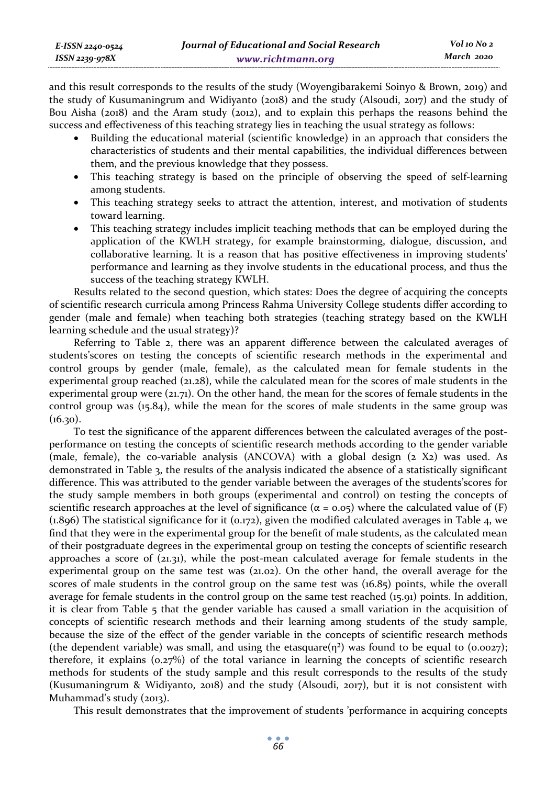and this result corresponds to the results of the study (Woyengibarakemi Soinyo & Brown, 2019) and the study of Kusumaningrum and Widiyanto (2018) and the study (Alsoudi, 2017) and the study of Bou Aisha (2018) and the Aram study (2012), and to explain this perhaps the reasons behind the success and effectiveness of this teaching strategy lies in teaching the usual strategy as follows:

- Building the educational material (scientific knowledge) in an approach that considers the characteristics of students and their mental capabilities, the individual differences between them, and the previous knowledge that they possess.
- This teaching strategy is based on the principle of observing the speed of self-learning among students.
- This teaching strategy seeks to attract the attention, interest, and motivation of students toward learning.
- This teaching strategy includes implicit teaching methods that can be employed during the application of the KWLH strategy, for example brainstorming, dialogue, discussion, and collaborative learning. It is a reason that has positive effectiveness in improving students' performance and learning as they involve students in the educational process, and thus the success of the teaching strategy KWLH.

Results related to the second question, which states: Does the degree of acquiring the concepts of scientific research curricula among Princess Rahma University College students differ according to gender (male and female) when teaching both strategies (teaching strategy based on the KWLH learning schedule and the usual strategy)?

Referring to Table 2, there was an apparent difference between the calculated averages of students'scores on testing the concepts of scientific research methods in the experimental and control groups by gender (male, female), as the calculated mean for female students in the experimental group reached (21.28), while the calculated mean for the scores of male students in the experimental group were (21.71). On the other hand, the mean for the scores of female students in the control group was (15.84), while the mean for the scores of male students in the same group was  $(16.30)$ .

To test the significance of the apparent differences between the calculated averages of the postperformance on testing the concepts of scientific research methods according to the gender variable (male, female), the co-variable analysis (ANCOVA) with a global design (2 X2) was used. As demonstrated in Table 3, the results of the analysis indicated the absence of a statistically significant difference. This was attributed to the gender variable between the averages of the students'scores for the study sample members in both groups (experimental and control) on testing the concepts of scientific research approaches at the level of significance ( $\alpha = 0.05$ ) where the calculated value of (F)  $(1.896)$  The statistical significance for it  $(0.172)$ , given the modified calculated averages in Table 4, we find that they were in the experimental group for the benefit of male students, as the calculated mean of their postgraduate degrees in the experimental group on testing the concepts of scientific research approaches a score of (21.31), while the post-mean calculated average for female students in the experimental group on the same test was (21.02). On the other hand, the overall average for the scores of male students in the control group on the same test was (16.85) points, while the overall average for female students in the control group on the same test reached (15.91) points. In addition, it is clear from Table 5 that the gender variable has caused a small variation in the acquisition of concepts of scientific research methods and their learning among students of the study sample, because the size of the effect of the gender variable in the concepts of scientific research methods (the dependent variable) was small, and using the etasquare( $\eta^2$ ) was found to be equal to (0.0027); therefore, it explains (0.27%) of the total variance in learning the concepts of scientific research methods for students of the study sample and this result corresponds to the results of the study (Kusumaningrum & Widiyanto, 2018) and the study (Alsoudi, 2017), but it is not consistent with Muhammad's study (2013).

This result demonstrates that the improvement of students 'performance in acquiring concepts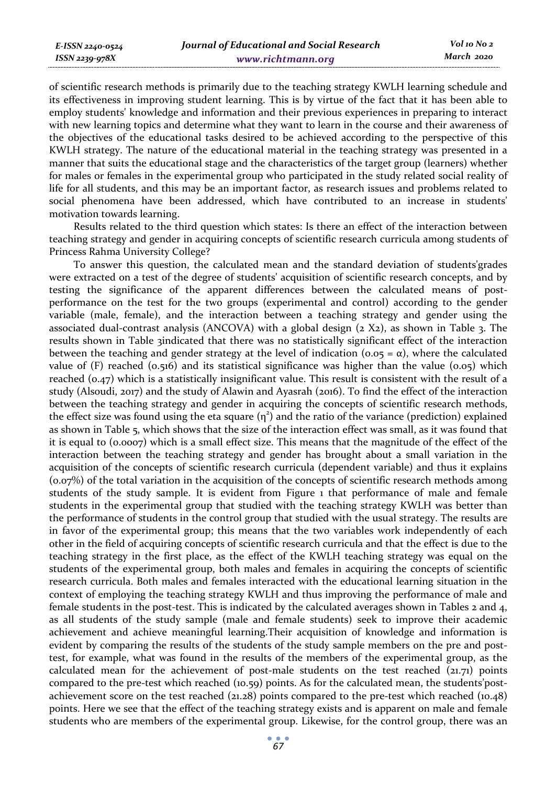of scientific research methods is primarily due to the teaching strategy KWLH learning schedule and its effectiveness in improving student learning. This is by virtue of the fact that it has been able to employ students' knowledge and information and their previous experiences in preparing to interact with new learning topics and determine what they want to learn in the course and their awareness of the objectives of the educational tasks desired to be achieved according to the perspective of this KWLH strategy. The nature of the educational material in the teaching strategy was presented in a manner that suits the educational stage and the characteristics of the target group (learners) whether for males or females in the experimental group who participated in the study related social reality of life for all students, and this may be an important factor, as research issues and problems related to social phenomena have been addressed, which have contributed to an increase in students' motivation towards learning.

Results related to the third question which states: Is there an effect of the interaction between teaching strategy and gender in acquiring concepts of scientific research curricula among students of Princess Rahma University College?

To answer this question, the calculated mean and the standard deviation of students'grades were extracted on a test of the degree of students' acquisition of scientific research concepts, and by testing the significance of the apparent differences between the calculated means of postperformance on the test for the two groups (experimental and control) according to the gender variable (male, female), and the interaction between a teaching strategy and gender using the associated dual-contrast analysis (ANCOVA) with a global design  $(z \ X_2)$ , as shown in Table 3. The results shown in Table 3indicated that there was no statistically significant effect of the interaction between the teaching and gender strategy at the level of indication ( $0.05 = \alpha$ ), where the calculated value of  $(F)$  reached  $(0.516)$  and its statistical significance was higher than the value  $(0.05)$  which reached (0.47) which is a statistically insignificant value. This result is consistent with the result of a study (Alsoudi, 2017) and the study of Alawin and Ayasrah (2016). To find the effect of the interaction between the teaching strategy and gender in acquiring the concepts of scientific research methods, the effect size was found using the eta square  $(\eta^2)$  and the ratio of the variance (prediction) explained as shown in Table 5, which shows that the size of the interaction effect was small, as it was found that it is equal to (0.0007) which is a small effect size. This means that the magnitude of the effect of the interaction between the teaching strategy and gender has brought about a small variation in the acquisition of the concepts of scientific research curricula (dependent variable) and thus it explains (0.07%) of the total variation in the acquisition of the concepts of scientific research methods among students of the study sample. It is evident from Figure 1 that performance of male and female students in the experimental group that studied with the teaching strategy KWLH was better than the performance of students in the control group that studied with the usual strategy. The results are in favor of the experimental group; this means that the two variables work independently of each other in the field of acquiring concepts of scientific research curricula and that the effect is due to the teaching strategy in the first place, as the effect of the KWLH teaching strategy was equal on the students of the experimental group, both males and females in acquiring the concepts of scientific research curricula. Both males and females interacted with the educational learning situation in the context of employing the teaching strategy KWLH and thus improving the performance of male and female students in the post-test. This is indicated by the calculated averages shown in Tables 2 and 4, as all students of the study sample (male and female students) seek to improve their academic achievement and achieve meaningful learning.Their acquisition of knowledge and information is evident by comparing the results of the students of the study sample members on the pre and posttest, for example, what was found in the results of the members of the experimental group, as the calculated mean for the achievement of post-male students on the test reached  $(21.71)$  points compared to the pre-test which reached (10.59) points. As for the calculated mean, the students'postachievement score on the test reached (21.28) points compared to the pre-test which reached (10.48) points. Here we see that the effect of the teaching strategy exists and is apparent on male and female students who are members of the experimental group. Likewise, for the control group, there was an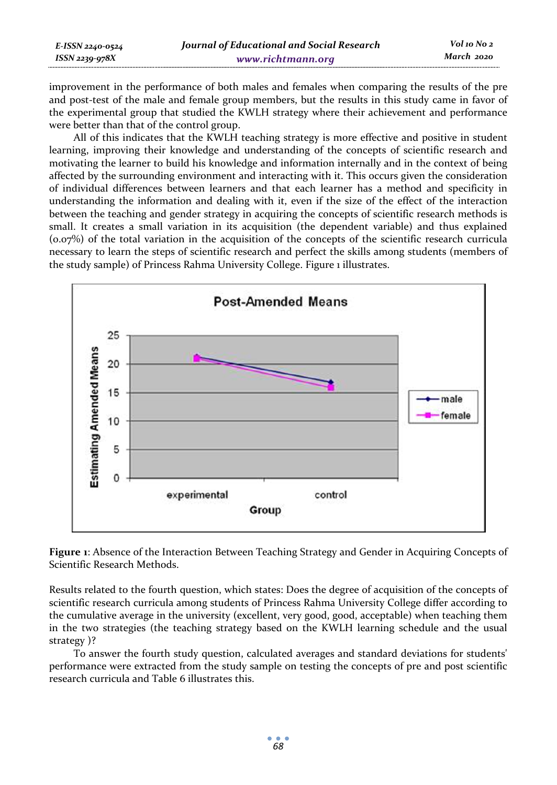| E-ISSN 2240-0524    | Journal of Educational and Social Research | Vol 10 No 2 |
|---------------------|--------------------------------------------|-------------|
| $ISSN$ 2239-97 $8X$ | www.richtmann.org                          | March 2020  |

improvement in the performance of both males and females when comparing the results of the pre and post-test of the male and female group members, but the results in this study came in favor of the experimental group that studied the KWLH strategy where their achievement and performance were better than that of the control group.

All of this indicates that the KWLH teaching strategy is more effective and positive in student learning, improving their knowledge and understanding of the concepts of scientific research and motivating the learner to build his knowledge and information internally and in the context of being affected by the surrounding environment and interacting with it. This occurs given the consideration of individual differences between learners and that each learner has a method and specificity in understanding the information and dealing with it, even if the size of the effect of the interaction between the teaching and gender strategy in acquiring the concepts of scientific research methods is small. It creates a small variation in its acquisition (the dependent variable) and thus explained (0.07%) of the total variation in the acquisition of the concepts of the scientific research curricula necessary to learn the steps of scientific research and perfect the skills among students (members of the study sample) of Princess Rahma University College. Figure 1 illustrates.



**Figure 1**: Absence of the Interaction Between Teaching Strategy and Gender in Acquiring Concepts of Scientific Research Methods.

Results related to the fourth question, which states: Does the degree of acquisition of the concepts of scientific research curricula among students of Princess Rahma University College differ according to the cumulative average in the university (excellent, very good, good, acceptable) when teaching them in the two strategies (the teaching strategy based on the KWLH learning schedule and the usual strategy )?

To answer the fourth study question, calculated averages and standard deviations for students' performance were extracted from the study sample on testing the concepts of pre and post scientific research curricula and Table 6 illustrates this.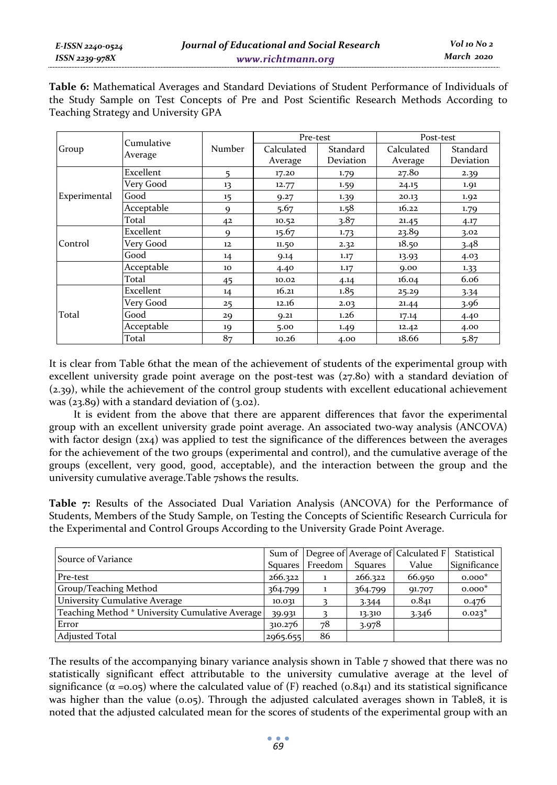**Table 6:** Mathematical Averages and Standard Deviations of Student Performance of Individuals of the Study Sample on Test Concepts of Pre and Post Scientific Research Methods According to Teaching Strategy and University GPA

|              | Cumulative |        | Pre-test              |                       | Post-test             |                       |
|--------------|------------|--------|-----------------------|-----------------------|-----------------------|-----------------------|
| Group        | Average    | Number | Calculated<br>Average | Standard<br>Deviation | Calculated<br>Average | Standard<br>Deviation |
|              | Excellent  | 5      | 17.20                 | 1.79                  | 27.80                 | 2.39                  |
|              | Very Good  | 13     | 12.77                 | 1.59                  | 24.15                 | 1.91                  |
| Experimental | Good       | 15     | 9.27                  | 1.39                  | 20.13                 | 1.92                  |
|              | Acceptable | 9      | 5.67                  | 1.58                  | 16.22                 | 1.79                  |
|              | Total      | 42     | 10.52                 | 3.87                  | 21.45                 | 4.17                  |
|              | Excellent  | 9      | 15.67                 | 1.73                  | 23.89                 | 3.02                  |
| Control      | Very Good  | 12     | 11.50                 | 2.32                  | 18.50                 | 3.48                  |
|              | Good       | 14     | 9.14                  | 1.17                  | 13.93                 | 4.03                  |
|              | Acceptable | 10     | 4.40                  | 1.17                  | 9.00                  | 1.33                  |
|              | Total      | 45     | 10.02                 | 4.14                  | 16.04                 | 6.06                  |
|              | Excellent  | 14     | 16.21                 | 1.85                  | 25.29                 | 3.34                  |
|              | Very Good  | 25     | 12.16                 | 2.03                  | 21.44                 | 3.96                  |
| Total        | Good       | 29     | 9.21                  | 1.26                  | 17.14                 | 4.40                  |
|              | Acceptable | 19     | 5.00                  | 1.49                  | 12.42                 | 4.00                  |
|              | Total      | 87     | 10.26                 | 4.00                  | 18.66                 | 5.87                  |

It is clear from Table 6that the mean of the achievement of students of the experimental group with excellent university grade point average on the post-test was (27.80) with a standard deviation of (2.39), while the achievement of the control group students with excellent educational achievement was (23.89) with a standard deviation of (3.02).

It is evident from the above that there are apparent differences that favor the experimental group with an excellent university grade point average. An associated two-way analysis (ANCOVA) with factor design (2x4) was applied to test the significance of the differences between the averages for the achievement of the two groups (experimental and control), and the cumulative average of the groups (excellent, very good, good, acceptable), and the interaction between the group and the university cumulative average.Table 7shows the results.

**Table 7:** Results of the Associated Dual Variation Analysis (ANCOVA) for the Performance of Students, Members of the Study Sample, on Testing the Concepts of Scientific Research Curricula for the Experimental and Control Groups According to the University Grade Point Average.

| Source of Variance                              |          |                 |                | Sum of Degree of Average of Calculated F | Statistical  |
|-------------------------------------------------|----------|-----------------|----------------|------------------------------------------|--------------|
|                                                 |          | Squares Freedom | <b>Squares</b> | Value                                    | Significance |
| Pre-test                                        | 266.322  |                 | 266.322        | 66.950                                   | $0.000*$     |
| Group/Teaching Method                           | 364.799  |                 | 364.799        | 91.707                                   | $0.000*$     |
| University Cumulative Average                   | 10.031   |                 | 3.344          | 0.841                                    | 0.476        |
| Teaching Method * University Cumulative Average | 39.931   |                 | 13.310         | 3.346                                    | $0.023*$     |
| Error                                           | 310.276  | 78              | 3.978          |                                          |              |
| <b>Adjusted Total</b>                           | 2965.655 | 86              |                |                                          |              |

The results of the accompanying binary variance analysis shown in Table 7 showed that there was no statistically significant effect attributable to the university cumulative average at the level of significance ( $\alpha = 0.05$ ) where the calculated value of (F) reached (0.841) and its statistical significance was higher than the value (0.05). Through the adjusted calculated averages shown in Table8, it is noted that the adjusted calculated mean for the scores of students of the experimental group with an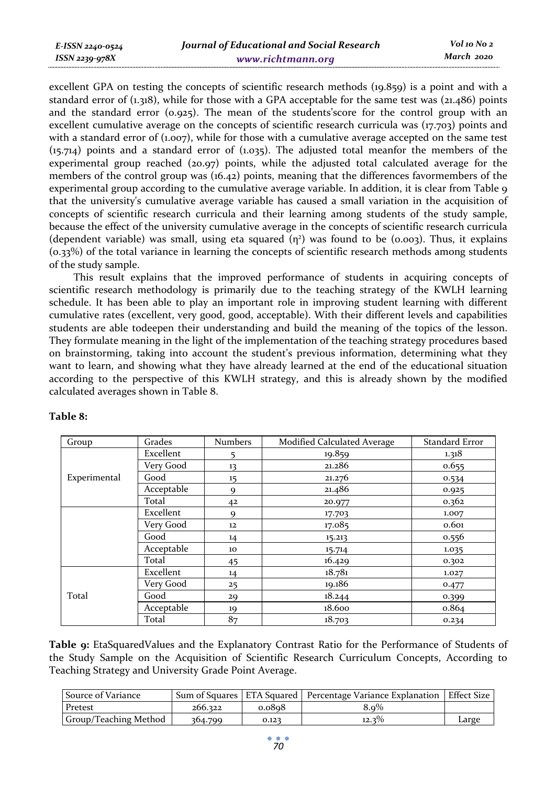| E-ISSN 2240-0524 | Journal of Educational and Social Research | Vol 10 No 2 |
|------------------|--------------------------------------------|-------------|
| ISSN 2239-978X   | www.richtmann.org                          | March 2020  |

excellent GPA on testing the concepts of scientific research methods (19.859) is a point and with a standard error of (1.318), while for those with a GPA acceptable for the same test was (21.486) points and the standard error  $(0.925)$ . The mean of the students' score for the control group with an excellent cumulative average on the concepts of scientific research curricula was (17.703) points and with a standard error of  $(1.007)$ , while for those with a cumulative average accepted on the same test (15.714) points and a standard error of (1.035). The adjusted total meanfor the members of the experimental group reached (20.97) points, while the adjusted total calculated average for the members of the control group was (16.42) points, meaning that the differences favormembers of the experimental group according to the cumulative average variable. In addition, it is clear from Table 9 that the university's cumulative average variable has caused a small variation in the acquisition of concepts of scientific research curricula and their learning among students of the study sample, because the effect of the university cumulative average in the concepts of scientific research curricula (dependent variable) was small, using eta squared  $(n^2)$  was found to be (0.003). Thus, it explains (0.33%) of the total variance in learning the concepts of scientific research methods among students of the study sample.

This result explains that the improved performance of students in acquiring concepts of scientific research methodology is primarily due to the teaching strategy of the KWLH learning schedule. It has been able to play an important role in improving student learning with different cumulative rates (excellent, very good, good, acceptable). With their different levels and capabilities students are able todeepen their understanding and build the meaning of the topics of the lesson. They formulate meaning in the light of the implementation of the teaching strategy procedures based on brainstorming, taking into account the student's previous information, determining what they want to learn, and showing what they have already learned at the end of the educational situation according to the perspective of this KWLH strategy, and this is already shown by the modified calculated averages shown in Table 8.

| Group        | Grades     | <b>Numbers</b> | Modified Calculated Average | Standard Error |
|--------------|------------|----------------|-----------------------------|----------------|
|              | Excellent  | 5              | 19.859                      | 1.318          |
|              | Very Good  | 13             | 21.286                      | 0.655          |
| Experimental | Good       | 15             | 21.276                      | 0.534          |
|              | Acceptable | $\mathbf Q$    | 21.486                      | 0.925          |
|              | Total      | 42             | 20.977                      | 0.362          |
|              | Excellent  | 9              | 17.703                      | 1.007          |
|              | Very Good  | 12             | 17.085                      | 0.601          |
|              | Good       | 14             | 15.213                      | 0.556          |
|              | Acceptable | 10             | 15.714                      | 1.035          |
|              | Total      | 45             | 16.429                      | 0.302          |
|              | Excellent  | 14             | 18.781                      | 1.027          |
|              | Very Good  | 25             | 19.186                      | 0.477          |
| Total        | Good       | 29             | 18.244                      | 0.399          |
|              | Acceptable | 19             | 18.600                      | 0.864          |
|              | Total      | 87             | 18.703                      | 0.234          |

#### **Table 8:**

**Table 9:** EtaSquaredValues and the Explanatory Contrast Ratio for the Performance of Students of the Study Sample on the Acquisition of Scientific Research Curriculum Concepts, According to Teaching Strategy and University Grade Point Average.

| Source of Variance    |         |        | Sum of Squares   ETA Squared   Percentage Variance Explanation   Effect Size |       |
|-----------------------|---------|--------|------------------------------------------------------------------------------|-------|
| Pretest               | 266.322 | 0.0808 | 8.9%                                                                         |       |
| Group/Teaching Method | 364.799 | 0.123  | $12.3\%$                                                                     | Large |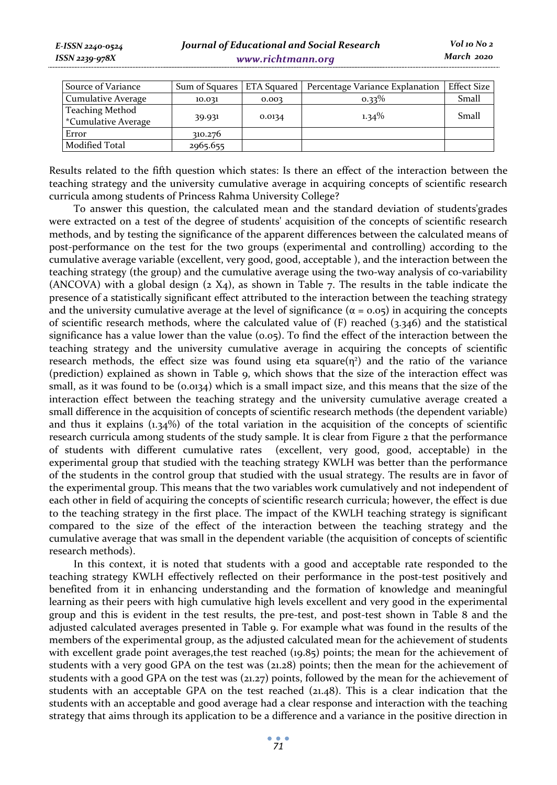| E-ISSN 2240-0524   | I |
|--------------------|---|
| $ISSN 2239 - 978X$ |   |
|                    |   |

| Source of Variance  |          |        | Sum of Squares   ETA Squared   Percentage Variance Explanation | Effect Size |
|---------------------|----------|--------|----------------------------------------------------------------|-------------|
| Cumulative Average  | 10.031   | 0.003  | $0.33\%$                                                       | Small       |
| Teaching Method     |          | 0.0134 | $1.34\%$                                                       | Small       |
| *Cumulative Average | 39.931   |        |                                                                |             |
| Error               | 310.276  |        |                                                                |             |
| Modified Total      | 2965.655 |        |                                                                |             |

Results related to the fifth question which states: Is there an effect of the interaction between the teaching strategy and the university cumulative average in acquiring concepts of scientific research curricula among students of Princess Rahma University College?

To answer this question, the calculated mean and the standard deviation of students'grades were extracted on a test of the degree of students' acquisition of the concepts of scientific research methods, and by testing the significance of the apparent differences between the calculated means of post-performance on the test for the two groups (experimental and controlling) according to the cumulative average variable (excellent, very good, good, acceptable ), and the interaction between the teaching strategy (the group) and the cumulative average using the two-way analysis of co-variability (ANCOVA) with a global design  $(2 \text{ X}_4)$ , as shown in Table 7. The results in the table indicate the presence of a statistically significant effect attributed to the interaction between the teaching strategy and the university cumulative average at the level of significance ( $\alpha$  = 0.05) in acquiring the concepts of scientific research methods, where the calculated value of (F) reached (3.346) and the statistical significance has a value lower than the value ( $0.05$ ). To find the effect of the interaction between the teaching strategy and the university cumulative average in acquiring the concepts of scientific research methods, the effect size was found using eta square $(\eta^2)$  and the ratio of the variance (prediction) explained as shown in Table 9, which shows that the size of the interaction effect was small, as it was found to be (0.0134) which is a small impact size, and this means that the size of the interaction effect between the teaching strategy and the university cumulative average created a small difference in the acquisition of concepts of scientific research methods (the dependent variable) and thus it explains  $(1.34%)$  of the total variation in the acquisition of the concepts of scientific research curricula among students of the study sample. It is clear from Figure 2 that the performance of students with different cumulative rates (excellent, very good, good, acceptable) in the experimental group that studied with the teaching strategy KWLH was better than the performance of the students in the control group that studied with the usual strategy. The results are in favor of the experimental group. This means that the two variables work cumulatively and not independent of each other in field of acquiring the concepts of scientific research curricula; however, the effect is due to the teaching strategy in the first place. The impact of the KWLH teaching strategy is significant compared to the size of the effect of the interaction between the teaching strategy and the cumulative average that was small in the dependent variable (the acquisition of concepts of scientific research methods).

In this context, it is noted that students with a good and acceptable rate responded to the teaching strategy KWLH effectively reflected on their performance in the post-test positively and benefited from it in enhancing understanding and the formation of knowledge and meaningful learning as their peers with high cumulative high levels excellent and very good in the experimental group and this is evident in the test results, the pre-test, and post-test shown in Table 8 and the adjusted calculated averages presented in Table 9. For example what was found in the results of the members of the experimental group, as the adjusted calculated mean for the achievement of students with excellent grade point averages, the test reached (19.85) points; the mean for the achievement of students with a very good GPA on the test was (21.28) points; then the mean for the achievement of students with a good GPA on the test was (21.27) points, followed by the mean for the achievement of students with an acceptable GPA on the test reached (21.48). This is a clear indication that the students with an acceptable and good average had a clear response and interaction with the teaching strategy that aims through its application to be a difference and a variance in the positive direction in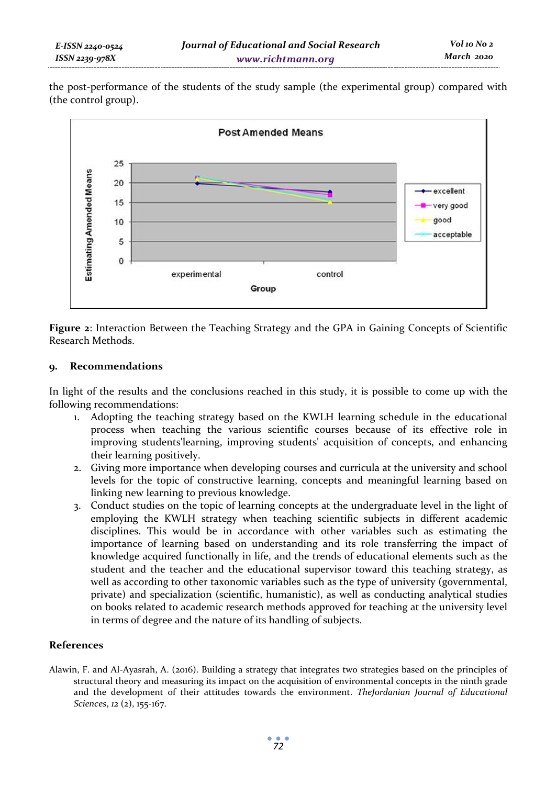| E-ISSN 2240-0524 | Journal of Educational and Social Research | Vol 10 No 2 |
|------------------|--------------------------------------------|-------------|
| ISSN 2239-978X   | www.richtmann.org                          | March 2020  |

the post-performance of the students of the study sample (the experimental group) compared with (the control group).



**Figure 2**: Interaction Between the Teaching Strategy and the GPA in Gaining Concepts of Scientific Research Methods.

## **9. Recommendations**

In light of the results and the conclusions reached in this study, it is possible to come up with the following recommendations:

- 1. Adopting the teaching strategy based on the KWLH learning schedule in the educational process when teaching the various scientific courses because of its effective role in improving students'learning, improving students' acquisition of concepts, and enhancing their learning positively.
- 2. Giving more importance when developing courses and curricula at the university and school levels for the topic of constructive learning, concepts and meaningful learning based on linking new learning to previous knowledge.
- 3. Conduct studies on the topic of learning concepts at the undergraduate level in the light of employing the KWLH strategy when teaching scientific subjects in different academic disciplines. This would be in accordance with other variables such as estimating the importance of learning based on understanding and its role transferring the impact of knowledge acquired functionally in life, and the trends of educational elements such as the student and the teacher and the educational supervisor toward this teaching strategy, as well as according to other taxonomic variables such as the type of university (governmental, private) and specialization (scientific, humanistic), as well as conducting analytical studies on books related to academic research methods approved for teaching at the university level in terms of degree and the nature of its handling of subjects.

## **References**

Alawin, F. and Al-Ayasrah, A. (2016). Building a strategy that integrates two strategies based on the principles of structural theory and measuring its impact on the acquisition of environmental concepts in the ninth grade and the development of their attitudes towards the environment. *TheJordanian Journal of Educational Sciences*, *12* (2), 155-167.